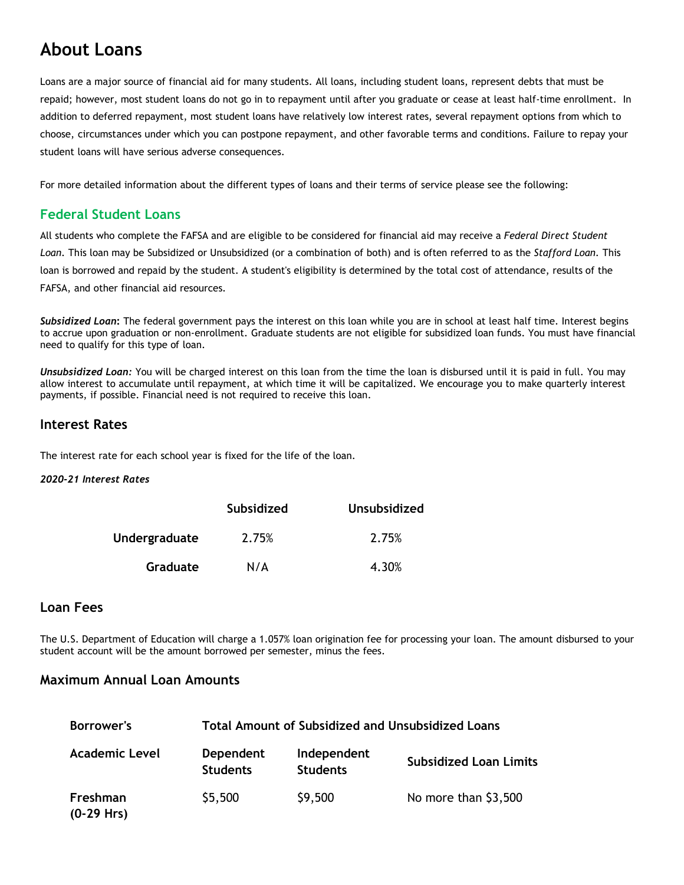# **About Loans**

Loans are a major source of financial aid for many students. All loans, including student loans, represent debts that must be repaid; however, most student loans do not go in to repayment until after you graduate or cease at least half-time enrollment. In addition to deferred repayment, most student loans have relatively low interest rates, several repayment options from which to choose, circumstances under which you can postpone repayment, and other favorable terms and conditions. Failure to repay your student loans will have serious adverse consequences.

For more detailed information about the different types of loans and their terms of service please see the following:

### **Federal Student Loans**

All students who complete the FAFSA and are eligible to be considered for financial aid may receive a *Federal Direct Student Loan*. This loan may be Subsidized or Unsubsidized (or a combination of both) and is often referred to as the *Stafford Loan*. This loan is borrowed and repaid by the student. A student's eligibility is determined by the total cost of attendance, results of the FAFSA, and other financial aid resources.

*Subsidized Loan***:** The federal government pays the interest on this loan while you are in school at least half time. Interest begins to accrue upon graduation or non-enrollment. Graduate students are not eligible for subsidized loan funds. You must have financial need to qualify for this type of loan.

*Unsubsidized Loan:* You will be charged interest on this loan from the time the loan is disbursed until it is paid in full. You may allow interest to accumulate until repayment, at which time it will be capitalized. We encourage you to make quarterly interest payments, if possible. Financial need is not required to receive this loan.

#### **Interest Rates**

The interest rate for each school year is fixed for the life of the loan.

#### *2020-21 Interest Rates*

|                      | <b>Subsidized</b> | Unsubsidized |
|----------------------|-------------------|--------------|
| <b>Undergraduate</b> | 2.75%             | 2.75%        |
| Graduate             | N/A               | 4.30%        |

#### **Loan Fees**

The U.S. Department of Education will charge a 1.057% loan origination fee for processing your loan. The amount disbursed to your student account will be the amount borrowed per semester, minus the fees.

#### **Maximum Annual Loan Amounts**

| <b>Borrower's</b>        |                              | <b>Total Amount of Subsidized and Unsubsidized Loans</b> |                               |  |  |  |
|--------------------------|------------------------------|----------------------------------------------------------|-------------------------------|--|--|--|
| <b>Academic Level</b>    | Dependent<br><b>Students</b> | Independent<br><b>Students</b>                           | <b>Subsidized Loan Limits</b> |  |  |  |
| Freshman<br>$(0-29$ Hrs) | \$5,500                      | \$9,500                                                  | No more than \$3,500          |  |  |  |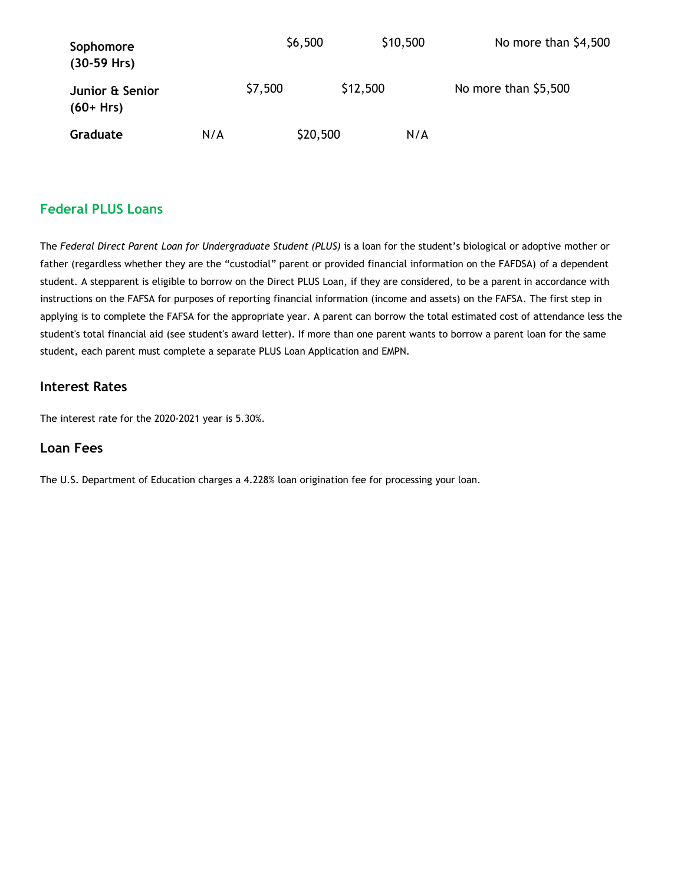| Sophomore<br>$(30-59$ Hrs)      |     | \$6,500  | \$10,500 | No more than \$4,500 |
|---------------------------------|-----|----------|----------|----------------------|
| Junior & Senior<br>$(60 + Hrs)$ |     | \$7,500  | \$12,500 | No more than \$5,500 |
| Graduate                        | N/A | \$20,500 | N/A      |                      |

## **Federal PLUS Loans**

The *Federal Direct Parent Loan for Undergraduate Student (PLUS)* is a loan for the student's biological or adoptive mother or father (regardless whether they are the "custodial" parent or provided financial information on the FAFDSA) of a dependent student. A stepparent is eligible to borrow on the Direct PLUS Loan, if they are considered, to be a parent in accordance with instructions on the FAFSA for purposes of reporting financial information (income and assets) on the FAFSA. The first step in applying is to complete the FAFSA for the appropriate year. A parent can borrow the total estimated cost of attendance less the student's total financial aid (see student's award letter). If more than one parent wants to borrow a parent loan for the same student, each parent must complete a separate PLUS Loan Application and EMPN.

#### **Interest Rates**

The interest rate for the 2020-2021 year is 5.30%.

#### **Loan Fees**

The U.S. Department of Education charges a 4.228% loan origination fee for processing your loan.